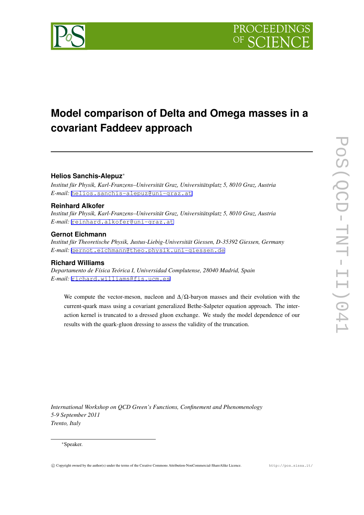# **Model comparison of Delta and Omega masses in a covariant Faddeev approach**

# **Helios Sanchis-Alepuz***∗*

*Institut für Physik, Karl-Franzens–Universität Graz, Universitätsplatz 5, 8010 Graz, Austria E-mail:* [helios.sanchis-alepuz@uni-graz.at](mailto:helios.sanchis-alepuz@uni-graz.at)

# **Reinhard Alkofer**

*Institut für Physik, Karl-Franzens–Universität Graz, Universitätsplatz 5, 8010 Graz, Austria E-mail:* [reinhard.alkofer@uni-graz.at](mailto:reinhard.alkofer@uni-graz.at)

## **Gernot Eichmann**

*Institut für Theoretische Physik, Justus-Liebig-Universität Giessen, D-35392 Giessen, Germany E-mail:* [gernot.eichmann@theo.physik.uni-giessen.de](mailto:gernot.eichmann@theo.physik.uni-giessen.de)

# **Richard Williams**

*Departamento de Física Teórica I, Universidad Complutense, 28040 Madrid, Spain E-mail:* [richard.williams@fis.ucm.es](mailto:richard.williams@fis.ucm.es)

We compute the vector-meson, nucleon and ∆*/*Ω-baryon masses and their evolution with the current-quark mass using a covariant generalized Bethe-Salpeter equation approach. The interaction kernel is truncated to a dressed gluon exchange. We study the model dependence of our results with the quark-gluon dressing to assess the validity of the truncation.

*International Workshop on QCD Green's Functions, Confinement and Phenomenology 5-9 September 2011 Trento, Italy*

### *∗*Speaker.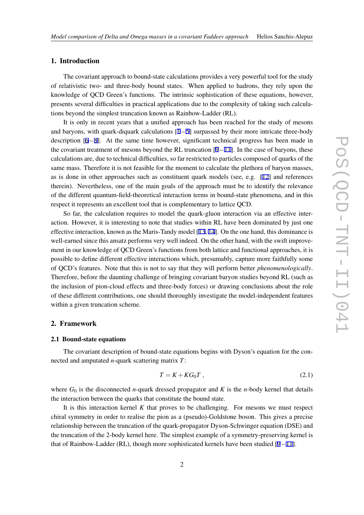#### 1. Introduction

The covariant approach to bound-state calculations provides a very powerful tool for the study of relativistic two- and three-body bound states. When applied to hadrons, they rely upon the knowledge of QCD Green's functions. The intrinsic sophistication of these equations, however, presents several difficulties in practical applications due to the complexity of taking such calculations beyond the simplest truncation known as Rainbow-Ladder (RL).

It is only in recent years that a unified approach has been reached for the study of mesons and baryons, with quark-diquark calculations  $[1 - 5]$  $[1 - 5]$  $[1 - 5]$  $[1 - 5]$  surpassed by their more intricate three-body description [\[6](#page-7-0) – [8](#page-7-0)]. At the same time however, significant technical progress has been made in the covariant treatment of mesons beyond the RL truncation  $[9 - 11]$  $[9 - 11]$  $[9 - 11]$ . In the case of baryons, these calculations are, due to technical difficulties, so far restricted to particles composed of quarks of the same mass. Therefore it is not feasible for the moment to calculate the plethora of baryon masses, as is done in other approaches such as constituent quark models (see, e.g. [[12\]](#page-7-0) and references therein). Nevertheless, one of the main goals of the approach must be to identify the relevance of the different quantum-field-theoretical interaction terms in bound-state phenomena, and in this respect it represents an excellent tool that is complementary to lattice QCD.

So far, the calculation requires to model the quark-gluon interaction via an effective interaction. However, it is interesting to note that studies within RL have been dominated by just one effective interaction, known as the Maris-Tandy model [[13,](#page-7-0) [14\]](#page-7-0). On the one hand, this dominance is well-earned since this ansatz performs very well indeed. On the other hand, with the swift improvement in our knowledge of QCD Green's functions from both lattice and functional approaches, it is possible to define different effective interactions which, presumably, capture more faithfully some of QCD's features. Note that this is not to say that they will perform better *phenomenologically*. Therefore, before the daunting challenge of bringing covariant baryon studies beyond RL (such as the inclusion of pion-cloud effects and three-body forces) or drawing conclusions about the role of these different contributions, one should thoroughly investigate the model-independent features within a given truncation scheme.

#### 2. Framework

#### 2.1 Bound-state equations

The covariant description of bound-state equations begins with Dyson's equation for the connected and amputated *n*-quark scattering matrix *T*:

$$
T = K + KG_0 T , \qquad (2.1)
$$

where  $G_0$  is the disconnected *n*-quark dressed propagator and K is the *n*-body kernel that details the interaction between the quarks that constitute the bound state.

It is this interaction kernel *K* that proves to be challenging. For mesons we must respect chiral symmetry in order to realise the pion as a (pseudo)-Goldstone boson. This gives a precise relationship between the truncation of the quark-propagator Dyson-Schwinger equation (DSE) and the truncation of the 2-body kernel here. The simplest example of a symmetry-preserving kernel is that of Rainbow-Ladder (RL), though more sophisticated kernels have been studied  $[9 - 11]$  $[9 - 11]$  $[9 - 11]$ .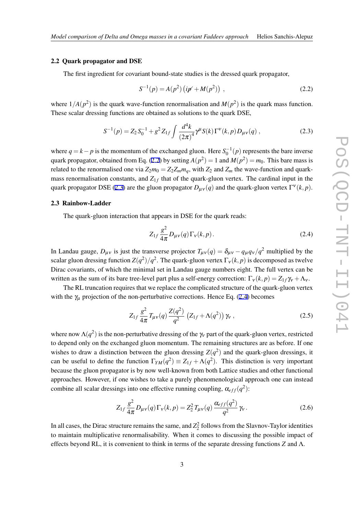#### 2.2 Quark propagator and DSE

The first ingredient for covariant bound-state studies is the dressed quark propagator,

$$
S^{-1}(p) = A(p^2) (ip' + M(p^2)),
$$
\n(2.2)

where  $1/A(p^2)$  is the quark wave-function renormalisation and  $M(p^2)$  is the quark mass function. These scalar dressing functions are obtained as solutions to the quark DSE,

$$
S^{-1}(p) = Z_2 S_0^{-1} + g^2 Z_{1f} \int \frac{d^4k}{(2\pi)^4} \gamma^{\mu} S(k) \Gamma^{\nu}(k, p) D_{\mu\nu}(q) , \qquad (2.3)
$$

where  $q = k - p$  is the momentum of the exchanged gluon. Here  $S_0^{-1}(p)$  represents the bare inverse quark propagator, obtained from Eq. (2.2) by setting  $A(p^2) = 1$  and  $M(p^2) = m_0$ . This bare mass is related to the renormalised one via  $Z_2m_0 = Z_2Z_mm_q$ , with  $Z_2$  and  $Z_m$  the wave-function and quarkmass renormalisation constants, and  $Z_{1f}$  that of the quark-gluon vertex. The cardinal input in the quark propagator DSE (2.3) are the gluon propagator  $D_{\mu\nu}(q)$  and the quark-gluon vertex  $\Gamma^{\nu}(k,p).$ 

#### 2.3 Rainbow-Ladder

The quark-gluon interaction that appears in DSE for the quark reads:

$$
Z_{1f} \frac{g^2}{4\pi} D_{\mu\nu}(q) \Gamma_{\nu}(k, p). \tag{2.4}
$$

In Landau gauge,  $D_{\mu\nu}$  is just the transverse projector  $T_{\mu\nu}(q) = \delta_{\mu\nu} - q_{\mu}q_{\nu}/q^2$  multiplied by the scalar gluon dressing function  $Z(q^2)/q^2$ . The quark-gluon vertex  $\Gamma_v(k,p)$  is decomposed as twelve Dirac covariants, of which the minimal set in Landau gauge numbers eight. The full vertex can be written as the sum of its bare tree-level part plus a self-energy correction:  $\Gamma_v(k, p) = Z_{1f} \gamma_v + \Lambda_v$ .

The RL truncation requires that we replace the complicated structure of the quark-gluon vertex with the  $\gamma_{\mu}$  projection of the non-perturbative corrections. Hence Eq. (2.4) becomes

$$
Z_{1f} \frac{g^2}{4\pi} T_{\mu\nu}(q) \frac{Z(q^2)}{q^2} \left( Z_{1f} + \Lambda(q^2) \right) \gamma_{\nu} , \qquad (2.5)
$$

where now  $\Lambda(q^2)$  is the non-perturbative dressing of the  $\gamma_v$  part of the quark-gluon vertex, restricted to depend only on the exchanged gluon momentum. The remaining structures are as before. If one wishes to draw a distinction between the gluon dressing  $Z(q^2)$  and the quark-gluon dressings, it can be useful to define the function  $\Gamma_{YM}(q^2) \equiv Z_{1f} + \Lambda(q^2)$ . This distinction is very important because the gluon propagator is by now well-known from both Lattice studies and other functional approaches. However, if one wishes to take a purely phenomenological approach one can instead combine all scalar dressings into one effective running coupling,  $\alpha_{eff}(q^2)$ :

$$
Z_{1f} \frac{g^2}{4\pi} D_{\mu\nu}(q) \Gamma_{\nu}(k, p) = Z_2^2 T_{\mu\nu}(q) \frac{\alpha_{eff}(q^2)}{q^2} \gamma_{\nu}.
$$
 (2.6)

In all cases, the Dirac structure remains the same, and  $Z_2^2$  follows from the Slavnov-Taylor identities to maintain multiplicative renormalisability. When it comes to discussing the possible impact of effects beyond RL, it is convenient to think in terms of the separate dressing functions *Z* and Λ.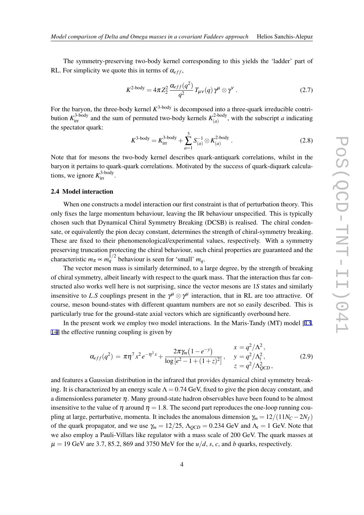The symmetry-preserving two-body kernel corresponding to this yields the 'ladder' part of RL. For simplicity we quote this in terms of  $\alpha_{eff}$ ,

$$
K^{\text{2-body}} = 4\pi Z_2^2 \frac{\alpha_{eff}(q^2)}{q^2} T_{\mu\nu}(q) \gamma^{\mu} \otimes \gamma^{\nu} . \tag{2.7}
$$

For the baryon, the three-body kernel  $K^{3-body}$  is decomposed into a three-quark irreducible contribution  $K_{\text{irr}}^{3\text{-body}}$  and the sum of permuted two-body kernels  $K_{(a)}^{2\text{-body}}$  $(a)$ , with the subscript *a* indicating the spectator quark:

$$
K^{\text{3-body}} = K_{\text{irr}}^{\text{3-body}} + \sum_{a=1}^{3} S_{(a)}^{-1} \otimes K_{(a)}^{\text{2-body}} \,. \tag{2.8}
$$

Note that for mesons the two-body kernel describes quark-antiquark correlations, whilst in the baryon it pertains to quark-quark correlations. Motivated by the success of quark-diquark calculations, we ignore  $K_{\text{irr}}^{3\text{-body}}$ .

### 2.4 Model interaction

When one constructs a model interaction our first constraint is that of perturbation theory. This only fixes the large momentum behaviour, leaving the IR behaviour unspecified. This is typically chosen such that Dynamical Chiral Symmetry Breaking (DCSB) is realised. The chiral condensate, or equivalently the pion decay constant, determines the strength of chiral-symmetry breaking. These are fixed to their phenomenological/experimental values, respectively. With a symmetry preserving truncation protecting the chiral behaviour, such chiral properties are guaranteed and the characteristic  $m_{\pi} \propto m_q^{1/2}$  behaviour is seen for 'small'  $m_q$ .

The vector meson mass is similarly determined, to a large degree, by the strength of breaking of chiral symmetry, albeit linearly with respect to the quark mass. That the interaction thus far constructed also works well here is not surprising, since the vector mesons are 1*S* states and similarly insensitive to *L*.*S* couplings present in the  $\gamma^{\mu} \otimes \gamma^{\mu}$  interaction, that in RL are too attractive. Of course, meson bound-states with different quantum numbers are not so easily described. This is particularly true for the ground-state axial vectors which are significantly overbound here.

In the present work we employ two model interactions. In the Maris-Tandy (MT) model [\[13](#page-7-0), [14](#page-7-0)] the effective running coupling is given by

$$
\alpha_{eff}(q^2) = \pi \eta^7 x^2 e^{-\eta^2 x} + \frac{2\pi \gamma_m (1 - e^{-y})}{\log [e^2 - 1 + (1 + z)^2]}, \quad \begin{array}{l} x = q^2 / \Lambda^2, \\ y = q^2 / \Lambda^2, \\ z = q^2 / \Lambda^2_{QCD}, \end{array} (2.9)
$$

and features a Gaussian distribution in the infrared that provides dynamical chiral symmetry breaking. It is characterized by an energy scale  $\Lambda = 0.74$  GeV, fixed to give the pion decay constant, and a dimensionless parameter  $\eta$ . Many ground-state hadron observables have been found to be almost insensitive to the value of  $\eta$  around  $\eta = 1.8$ . The second part reproduces the one-loop running coupling at large, perturbative, momenta. It includes the anomalous dimension  $\gamma_m = 12/(11N_C - 2N_f)$ of the quark propagator, and we use  $\gamma_m = 12/25$ ,  $\Lambda_{QCD} = 0.234$  GeV and  $\Lambda_t = 1$  GeV. Note that we also employ a Pauli-Villars like regulator with a mass scale of 200 GeV. The quark masses at  $\mu = 19$  GeV are 3.7, 85.2, 869 and 3750 MeV for the  $u/d$ , *s*, *c*, and *b* quarks, respectively.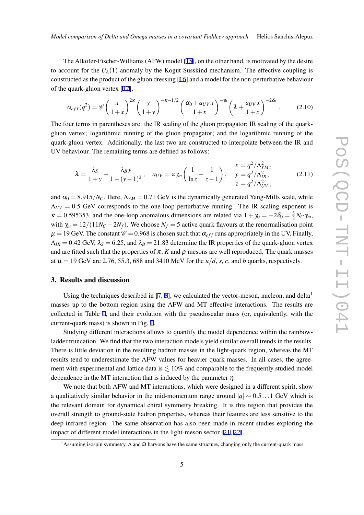The Alkofer-Fischer-Williams (AFW) model [[15\]](#page-7-0), on the other hand, is motivated by the desire to account for the  $U_A(1)$ -anomaly by the Kogut-Susskind mechanism. The effective coupling is constructed as the product of the gluon dressing [\[16](#page-7-0)] and a model for the non-perturbative behaviour of the quark-gluon vertex [[17](#page-7-0)],

$$
\alpha_{eff}(q^2) = \mathscr{C}\left(\frac{x}{1+x}\right)^{2\kappa} \left(\frac{y}{1+y}\right)^{-\kappa-1/2} \left(\frac{\alpha_0 + a_{UV}x}{1+x}\right)^{-\gamma_0} \left(\lambda + \frac{a_{UV}x}{1+x}\right)^{-2\delta_0}.
$$
 (2.10)

The four terms in parentheses are: the IR scaling of the gluon propagator; IR scaling of the quarkgluon vertex; logarithmic running of the gluon propagator; and the logarithmic running of the quark-gluon vertex. Additionally, the last two are constructed to interpolate between the IR and UV behaviour. The remaining terms are defined as follows:

$$
\lambda = \frac{\lambda_S}{1+y} + \frac{\lambda_B y}{1+(y-1)^2}, \quad a_{UV} = \pi \gamma_m \left(\frac{1}{\ln z} - \frac{1}{z-1}\right), \quad \frac{x = q^2/\Lambda_{YM}^2}{y = q^2/\Lambda_{IR}^2},
$$
(2.11)

and  $\alpha_0 = 8.915/N_C$ . Here,  $\Lambda_{YM} = 0.71$  GeV is the dynamically generated Yang-Mills scale, while  $\Lambda_{UV}$  = 0.5 GeV corresponds to the one-loop perturbative running. The IR scaling exponent is  $\kappa = 0.595353$ , and the one-loop anomalous dimensions are related via  $1 + \gamma_0 = -2\delta_0 = \frac{3}{8}$  $\frac{3}{8}$   $N_C$  γ<sub>m</sub>, with  $\gamma_m = 12/(11N_C - 2N_f)$ . We choose  $N_f = 5$  active quark flavours at the renormalisation point  $\mu = 19$  GeV. The constant  $\mathcal{C} = 0.968$  is chosen such that  $\alpha_{eff}$  runs appropriately in the UV. Finally,  $\Lambda_{IR}$  = 0.42 GeV,  $\lambda_s$  = 6.25, and  $\lambda_B$  = 21.83 determine the IR properties of the quark-gluon vertex and are fitted such that the properties of  $\pi$ , *K* and  $\rho$  mesons are well reproduced. The quark masses at  $\mu = 19$  GeV are 2.76, 55.3, 688 and 3410 MeV for the  $u/d$ , *s*, *c*, and *b* quarks, respectively.

#### 3. Results and discussion

Using the techniques described in [\[7,](#page-7-0) [8\]](#page-7-0), we calculated the vector-meson, nucleon, and delta<sup>1</sup> masses up to the bottom region using the AFW and MT effective interactions. The results are collected in Table [1,](#page-5-0) and their evolution with the pseudoscalar mass (or, equivalently, with the current-quark mass) is shown in Fig. [1](#page-5-0).

Studying different interactions allows to quantify the model dependence within the rainbowladder truncation. We find that the two interaction models yield similar overall trends in the results. There is little deviation in the resulting hadron masses in the light-quark region, whereas the MT results tend to underestimate the AFW values for heavier quark masses. In all cases, the agreement with experimental and lattice data is  $\leq 10\%$  and comparable to the frequently studied model dependence in the MT interaction that is induced by the parameter  $\eta$ .

We note that both AFW and MT interactions, which were designed in a different spirit, show a qualitatively similar behavior in the mid-momentum range around *|q| ∼* 0*.*5*...*1 GeV which is the relevant domain for dynamical chiral symmetry breaking. It is this region that provides the overall strength to ground-state hadron properties, whereas their features are less sensitive to the deep-infrared region. The same observation has also been made in recent studies exploring the impact of different model interactions in the light-meson sector [[21,](#page-7-0) [22](#page-7-0)].

<sup>&</sup>lt;sup>1</sup>Assuming isospin symmetry,  $\Delta$  and  $\Omega$  baryons have the same structure, changing only the current-quark mass.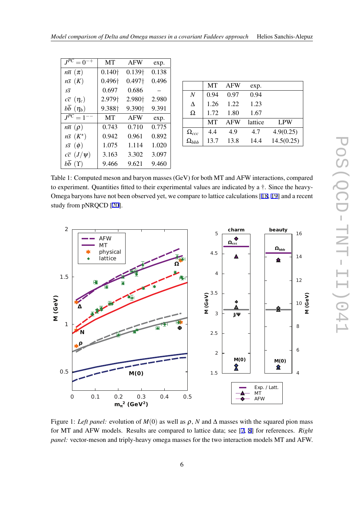<span id="page-5-0"></span>

| $J^{PC}=0$                 | MT                 | <b>AFW</b>         | exp.  |
|----------------------------|--------------------|--------------------|-------|
| $n\bar{n}(\pi)$            | $0.140\dagger$     | $0.139\dagger$     | 0.138 |
| $n\bar{s}$ $(K)$           | 0.496 <sup>+</sup> | $0.497\dagger$     | 0.496 |
| $S\overline{S}$            | 0.697              | 0.686              |       |
| $c\bar{c}$ $(\eta_c)$      | 2.979 <sup>+</sup> | 2.980+             | 2.980 |
| bb $(\eta_b)$              | 9.388 <sup>+</sup> | 9.390 <sup>+</sup> | 9.391 |
| $J^{PC} = 1^{--}$          | MT                 | <b>AFW</b>         | exp.  |
| $n\bar{n}$ ( $\rho$ )      | 0.743              | 0.710              | 0.775 |
| $n\bar{s}$ $(K^{\star})$   | 0.942              | 0.961              | 0.892 |
| $s\bar{s}$ $(\phi)$        | 1.075              | 1.114              | 1.020 |
| $c\overline{c}$ $(J/\psi)$ | 3.163              | 3.302              | 3.097 |
| bb $(Y)$                   | 9.466              | 9.621              | 9.460 |

|                | MТ   | <b>AFW</b> | exp.    |            |
|----------------|------|------------|---------|------------|
| N              | 0.94 | 0.97       | 0.94    |            |
| Δ              | 1.26 | 1.22       | 1.23    |            |
| Ω              | 1.72 | 1.80       | 1.67    |            |
|                | MТ   | AFW        | lattice | <b>LPW</b> |
| $\Omega_{ccc}$ | 4.4  | 4.9        | 4.7     | 4.9(0.25)  |
| $\Omega_{bbb}$ | 13.7 | 13.8       | 14.4    | 14.5(0.25) |

Table 1: Computed meson and baryon masses (GeV) for both MT and AFW interactions, compared to experiment. Quantities fitted to their experimental values are indicated by a †. Since the heavy-Omega baryons have not been observed yet, we compare to lattice calculations [[18](#page-7-0), [19](#page-7-0)] and a recent study from pNRQCD [[20\]](#page-7-0).



Figure 1: *Left panel:* evolution of  $M(0)$  as well as  $\rho$ , *N* and  $\Delta$  masses with the squared pion mass for MT and AFW models. Results are compared to lattice data; see [\[7,](#page-7-0) [8](#page-7-0)] for references. *Right panel:* vector-meson and triply-heavy omega masses for the two interaction models MT and AFW.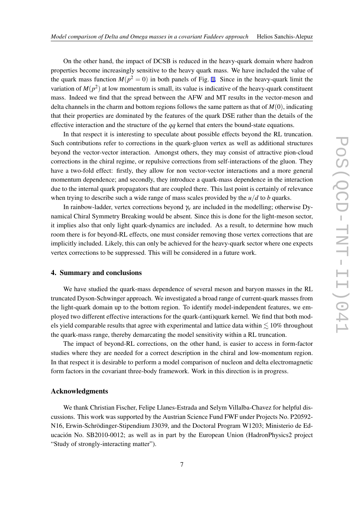On the other hand, the impact of DCSB is reduced in the heavy-quark domain where hadron properties become increasingly sensitive to the heavy quark mass. We have included the value of the quark mass function  $M(p^2 = 0)$  in both panels of Fig. [1](#page-5-0). Since in the heavy-quark limit the variation of  $M(p^2)$  at low momentum is small, its value is indicative of the heavy-quark constituent mass. Indeed we find that the spread between the AFW and MT results in the vector-meson and delta channels in the charm and bottom regions follows the same pattern as that of *M*(0), indicating that their properties are dominated by the features of the quark DSE rather than the details of the effective interaction and the structure of the *qq* kernel that enters the bound-state equations.

In that respect it is interesting to speculate about possible effects beyond the RL truncation. Such contributions refer to corrections in the quark-gluon vertex as well as additional structures beyond the vector-vector interaction. Amongst others, they may consist of attractive pion-cloud corrections in the chiral regime, or repulsive corrections from self-interactions of the gluon. They have a two-fold effect: firstly, they allow for non vector-vector interactions and a more general momentum dependence; and secondly, they introduce a quark-mass dependence in the interaction due to the internal quark propagators that are coupled there. This last point is certainly of relevance when trying to describe such a wide range of mass scales provided by the  $u/d$  to *b* quarks.

In rainbow-ladder, vertex corrections beyond  $\gamma<sub>v</sub>$  are included in the modelling; otherwise Dynamical Chiral Symmetry Breaking would be absent. Since this is done for the light-meson sector, it implies also that only light quark-dynamics are included. As a result, to determine how much room there is for beyond-RL effects, one must consider removing those vertex corrections that are implicitly included. Likely, this can only be achieved for the heavy-quark sector where one expects vertex corrections to be suppressed. This will be considered in a future work.

#### 4. Summary and conclusions

We have studied the quark-mass dependence of several meson and baryon masses in the RL truncated Dyson-Schwinger approach. We investigated a broad range of current-quark masses from the light-quark domain up to the bottom region. To identify model-independent features, we employed two different effective interactions for the quark-(anti)quark kernel. We find that both models yield comparable results that agree with experimental and lattice data within  $\leq 10\%$  throughout the quark-mass range, thereby demarcating the model sensitivity within a RL truncation.

The impact of beyond-RL corrections, on the other hand, is easier to access in form-factor studies where they are needed for a correct description in the chiral and low-momentum region. In that respect it is desirable to perform a model comparison of nucleon and delta electromagnetic form factors in the covariant three-body framework. Work in this direction is in progress.

#### Acknowledgments

We thank Christian Fischer, Felipe Llanes-Estrada and Selym Villalba-Chavez for helpful discussions. This work was supported by the Austrian Science Fund FWF under Projects No. P20592- N16, Erwin-Schrödinger-Stipendium J3039, and the Doctoral Program W1203; Ministerio de Educación No. SB2010-0012; as well as in part by the European Union (HadronPhysics2 project "Study of strongly-interacting matter").